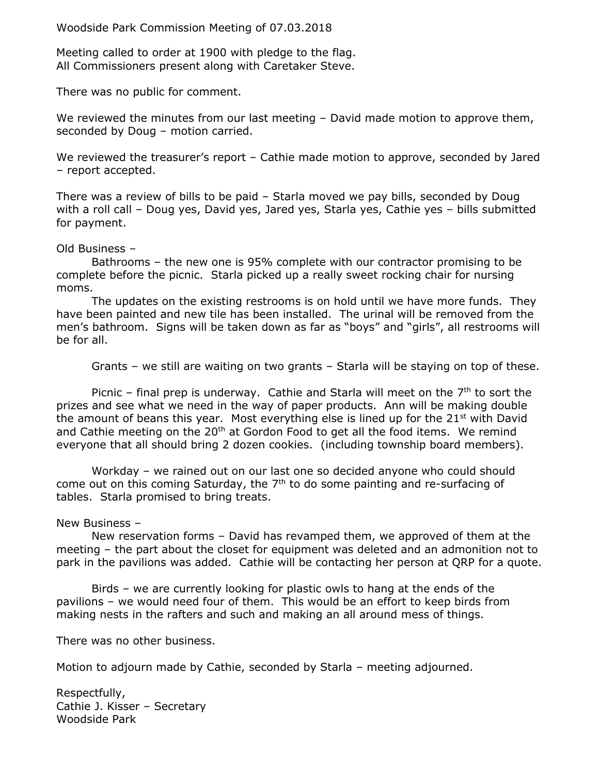Woodside Park Commission Meeting of 07.03.2018

Meeting called to order at 1900 with pledge to the flag. All Commissioners present along with Caretaker Steve.

There was no public for comment.

We reviewed the minutes from our last meeting - David made motion to approve them, seconded by Doug – motion carried.

We reviewed the treasurer's report – Cathie made motion to approve, seconded by Jared – report accepted.

There was a review of bills to be paid – Starla moved we pay bills, seconded by Doug with a roll call – Doug yes, David yes, Jared yes, Starla yes, Cathie yes – bills submitted for payment.

## Old Business –

Bathrooms – the new one is 95% complete with our contractor promising to be complete before the picnic. Starla picked up a really sweet rocking chair for nursing moms.

The updates on the existing restrooms is on hold until we have more funds. They have been painted and new tile has been installed. The urinal will be removed from the men's bathroom. Signs will be taken down as far as "boys" and "girls", all restrooms will be for all.

Grants – we still are waiting on two grants – Starla will be staying on top of these.

Picnic – final prep is underway. Cathie and Starla will meet on the  $7<sup>th</sup>$  to sort the prizes and see what we need in the way of paper products. Ann will be making double the amount of beans this year. Most everything else is lined up for the  $21<sup>st</sup>$  with David and Cathie meeting on the  $20<sup>th</sup>$  at Gordon Food to get all the food items. We remind everyone that all should bring 2 dozen cookies. (including township board members).

Workday – we rained out on our last one so decided anyone who could should come out on this coming Saturday, the 7<sup>th</sup> to do some painting and re-surfacing of tables. Starla promised to bring treats.

## New Business –

New reservation forms – David has revamped them, we approved of them at the meeting – the part about the closet for equipment was deleted and an admonition not to park in the pavilions was added. Cathie will be contacting her person at QRP for a quote.

Birds – we are currently looking for plastic owls to hang at the ends of the pavilions – we would need four of them. This would be an effort to keep birds from making nests in the rafters and such and making an all around mess of things.

There was no other business.

Motion to adjourn made by Cathie, seconded by Starla – meeting adjourned.

Respectfully, Cathie J. Kisser – Secretary Woodside Park